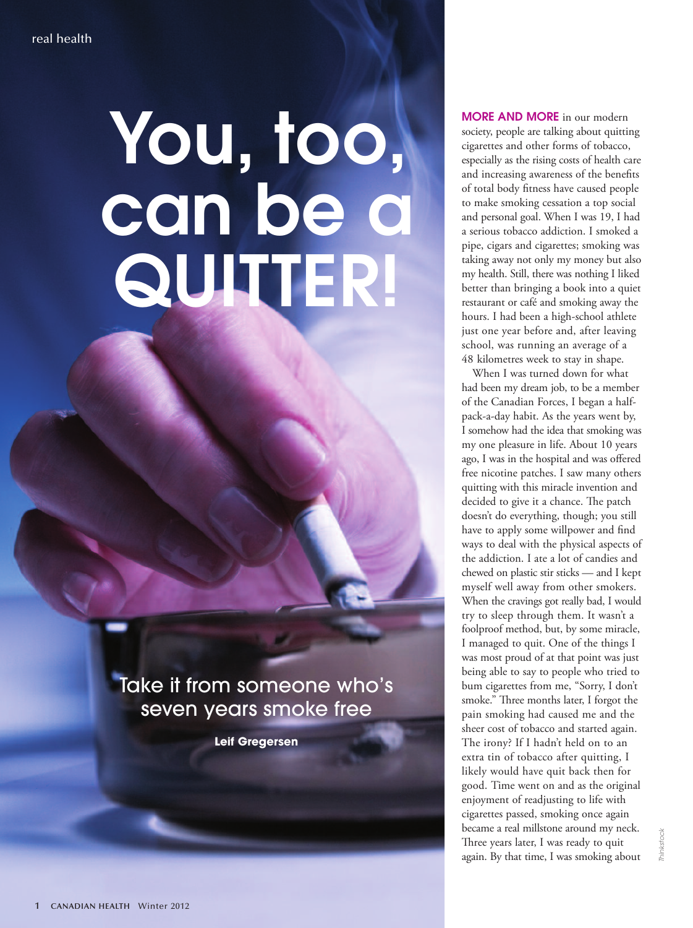## **You, too, can be a QUITTER!**

Take it from someone who's seven years smoke free

**Leif Gregersen**

**MORE AND MORE** in our modern society, people are talking about quitting cigarettes and other forms of tobacco, especially as the rising costs of health care and increasing awareness of the benefits of total body fitness have caused people to make smoking cessation a top social and personal goal. When I was 19, I had a serious tobacco addiction. I smoked a pipe, cigars and cigarettes; smoking was taking away not only my money but also my health. Still, there was nothing I liked better than bringing a book into a quiet restaurant or café and smoking away the hours. I had been a high-school athlete just one year before and, after leaving school, was running an average of a 48 kilometres week to stay in shape.

When I was turned down for what had been my dream job, to be a member of the Canadian Forces, I began a halfpack-a-day habit. As the years went by, I somehow had the idea that smoking was my one pleasure in life. About 10 years ago, I was in the hospital and was offered free nicotine patches. I saw many others quitting with this miracle invention and decided to give it a chance. The patch doesn't do everything, though; you still have to apply some willpower and find ways to deal with the physical aspects of the addiction. I ate a lot of candies and chewed on plastic stir sticks — and I kept myself well away from other smokers. When the cravings got really bad, I would try to sleep through them. It wasn't a foolproof method, but, by some miracle, I managed to quit. One of the things I was most proud of at that point was just being able to say to people who tried to bum cigarettes from me, "Sorry, I don't smoke." Three months later, I forgot the pain smoking had caused me and the sheer cost of tobacco and started again. The irony? If I hadn't held on to an extra tin of tobacco after quitting, I likely would have quit back then for good. Time went on and as the original enjoyment of readjusting to life with cigarettes passed, smoking once again became a real millstone around my neck. Three years later, I was ready to quit again. By that time, I was smoking about